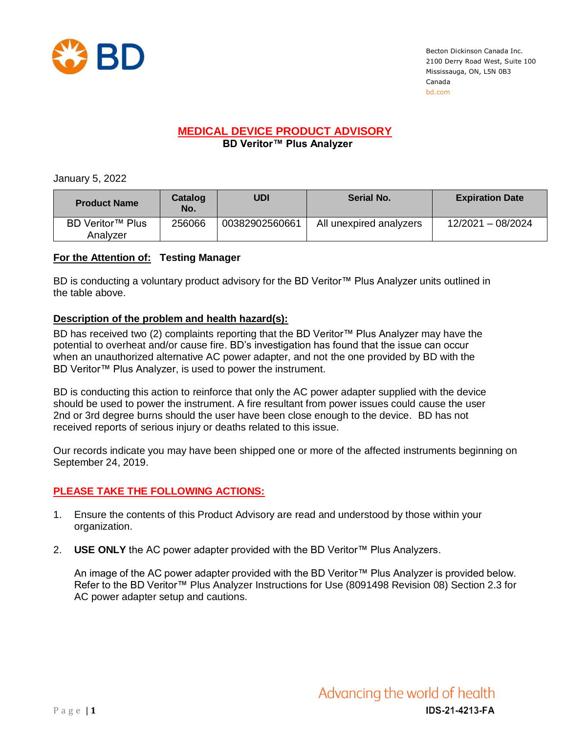

Becton Dickinson Canada Inc. 2100 Derry Road West, Suite 100 Mississauga, ON, L5N 0B3 Canada bd.com

# **MEDICAL DEVICE PRODUCT ADVISORY**

 **BD Veritor™ Plus Analyzer**

January 5, 2022

| <b>Product Name</b>          | Catalog<br>No. | UDI            | <b>Serial No.</b>       | <b>Expiration Date</b> |
|------------------------------|----------------|----------------|-------------------------|------------------------|
| BD Veritor™ Plus<br>Analvzer | 256066         | 00382902560661 | All unexpired analyzers | 12/2021 - 08/2024      |

## **For the Attention of: Testing Manager**

BD is conducting a voluntary product advisory for the BD Veritor™ Plus Analyzer units outlined in the table above.

### **Description of the problem and health hazard(s):**

BD has received two (2) complaints reporting that the BD Veritor™ Plus Analyzer may have the potential to overheat and/or cause fire. BD's investigation has found that the issue can occur when an unauthorized alternative AC power adapter, and not the one provided by BD with the BD Veritor™ Plus Analyzer, is used to power the instrument.

BD is conducting this action to reinforce that only the AC power adapter supplied with the device should be used to power the instrument. A fire resultant from power issues could cause the user 2nd or 3rd degree burns should the user have been close enough to the device. BD has not received reports of serious injury or deaths related to this issue.

Our records indicate you may have been shipped one or more of the affected instruments beginning on September 24, 2019.

## **PLEASE TAKE THE FOLLOWING ACTIONS:**

- 1. Ensure the contents of this Product Advisory are read and understood by those within your organization.
- 2. **USE ONLY** the AC power adapter provided with the BD Veritor™ Plus Analyzers.

An image of the AC power adapter provided with the BD Veritor™ Plus Analyzer is provided below. Refer to the BD Veritor™ Plus Analyzer Instructions for Use (8091498 Revision 08) Section 2.3 for AC power adapter setup and cautions.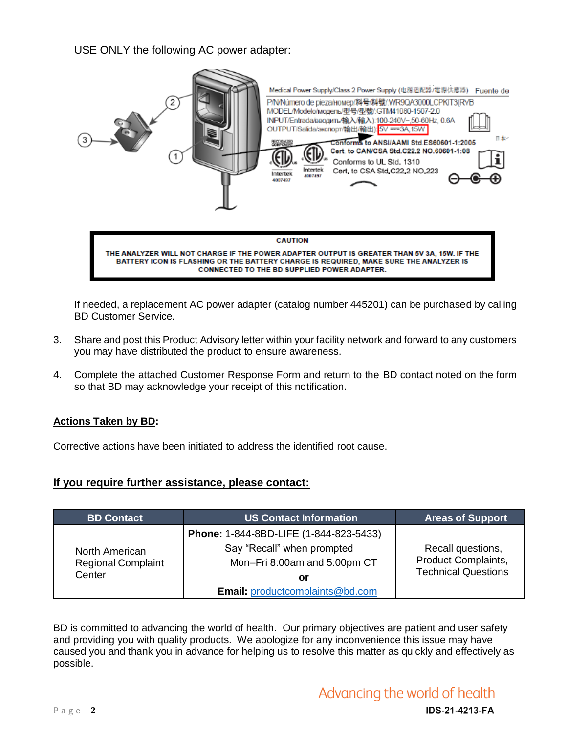USE ONLY the following AC power adapter:



If needed, a replacement AC power adapter (catalog number 445201) can be purchased by calling BD Customer Service.

- 3. Share and post this Product Advisory letter within your facility network and forward to any customers you may have distributed the product to ensure awareness.
- 4. Complete the attached Customer Response Form and return to the BD contact noted on the form so that BD may acknowledge your receipt of this notification.

#### **Actions Taken by BD:**

Corrective actions have been initiated to address the identified root cause.

#### **If you require further assistance, please contact:**

| <b>BD Contact</b>                                     | <b>US Contact Information</b>                              | <b>Areas of Support</b>                                                |  |
|-------------------------------------------------------|------------------------------------------------------------|------------------------------------------------------------------------|--|
| North American<br><b>Regional Complaint</b><br>Center | Phone: 1-844-8BD-LIFE (1-844-823-5433)                     |                                                                        |  |
|                                                       | Say "Recall" when prompted<br>Mon-Fri 8:00am and 5:00pm CT | Recall questions,<br>Product Complaints,<br><b>Technical Questions</b> |  |
|                                                       | Οľ                                                         |                                                                        |  |
|                                                       | <b>Email:</b> productcomplaints@bd.com                     |                                                                        |  |

BD is committed to advancing the world of health. Our primary objectives are patient and user safety and providing you with quality products. We apologize for any inconvenience this issue may have caused you and thank you in advance for helping us to resolve this matter as quickly and effectively as possible.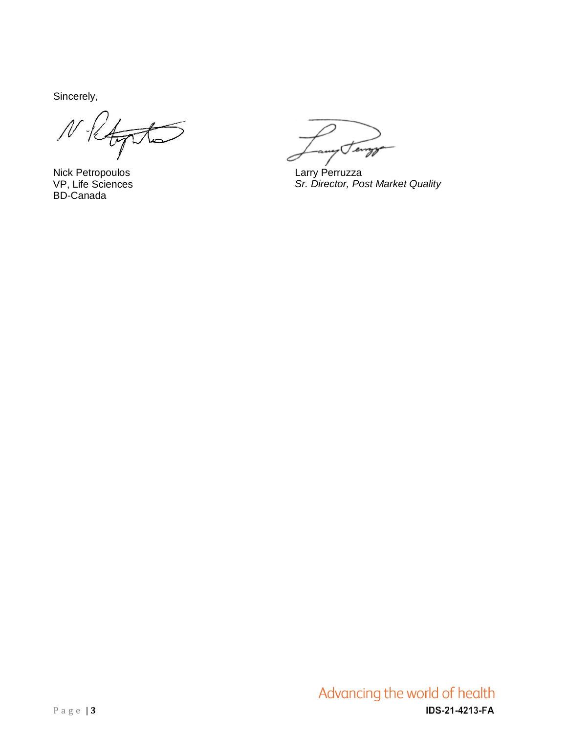Sincerely,

 $U$ 

Nick Petropoulos VP, Life Sciences BD-Canada

Temp

Larry Perruzza *Sr. Director, Post Market Quality*